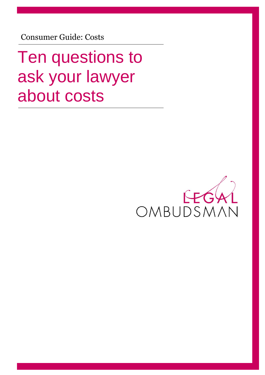Consumer Guide: Costs

Ten questions to ask your lawyer about costs

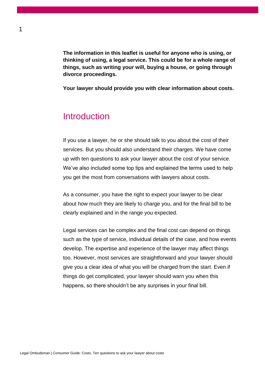**The information in this leaflet is useful for anyone who is using, or thinking of using, a legal service. This could be for a whole range of things, such as writing your will, buying a house, or going through divorce proceedings.** 

**Your lawyer should provide you with clear information about costs.** 

### **Introduction**

If you use a lawyer, he or she should talk to you about the cost of their services. But you should also understand their charges. We have come up with ten questions to ask your lawyer about the cost of your service. We've also included some top tips and explained the terms used to help you get the most from conversations with lawyers about costs.

As a consumer, you have the right to expect your lawyer to be clear about how much they are likely to charge you, and for the final bill to be clearly explained and in the range you expected.

Legal services can be complex and the final cost can depend on things such as the type of service, individual details of the case, and how events develop. The expertise and experience of the lawyer may affect things too. However, most services are straightforward and your lawyer should give you a clear idea of what you will be charged from the start. Even if things do get complicated, your lawyer should warn you when this happens, so there shouldn't be any surprises in your final bill.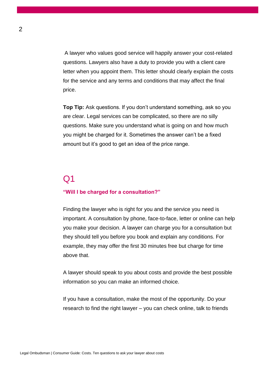A lawyer who values good service will happily answer your cost-related questions. Lawyers also have a duty to provide you with a client care letter when you appoint them. This letter should clearly explain the costs for the service and any terms and conditions that may affect the final price.

**Top Tip:** Ask questions. If you don't understand something, ask so you are clear. Legal services can be complicated, so there are no silly questions. Make sure you understand what is going on and how much you might be charged for it. Sometimes the answer can't be a fixed amount but it's good to get an idea of the price range.

## $\Omega$ 1

#### **"Will I be charged for a consultation?"**

Finding the lawyer who is right for you and the service you need is important. A consultation by phone, face-to-face, letter or online can help you make your decision. A lawyer can charge you for a consultation but they should tell you before you book and explain any conditions. For example, they may offer the first 30 minutes free but charge for time above that.

A lawyer should speak to you about costs and provide the best possible information so you can make an informed choice.

If you have a consultation, make the most of the opportunity. Do your research to find the right lawyer – you can check online, talk to friends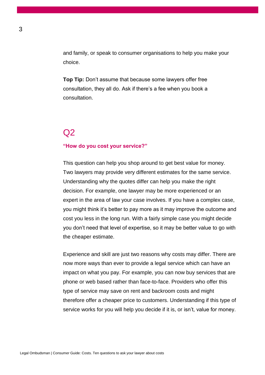and family, or speak to consumer organisations to help you make your choice.

**Top Tip:** Don't assume that because some lawyers offer free consultation, they all do. Ask if there's a fee when you book a consultation.

#### $O<sub>2</sub>$

#### **"How do you cost your service?"**

This question can help you shop around to get best value for money. Two lawyers may provide very different estimates for the same service. Understanding why the quotes differ can help you make the right decision. For example, one lawyer may be more experienced or an expert in the area of law your case involves. If you have a complex case, you might think it's better to pay more as it may improve the outcome and cost you less in the long run. With a fairly simple case you might decide you don't need that level of expertise, so it may be better value to go with the cheaper estimate.

Experience and skill are just two reasons why costs may differ. There are now more ways than ever to provide a legal service which can have an impact on what you pay. For example, you can now buy services that are phone or web based rather than face-to-face. Providers who offer this type of service may save on rent and backroom costs and might therefore offer a cheaper price to customers. Understanding if this type of service works for you will help you decide if it is, or isn't, value for money.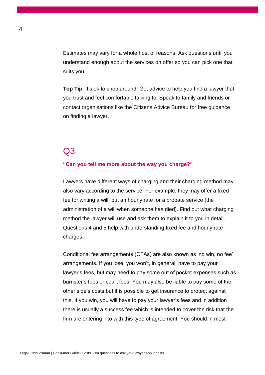Estimates may vary for a whole host of reasons. Ask questions until you understand enough about the services on offer so you can pick one that suits you.

**Top Tip:** It's ok to shop around. Get advice to help you find a lawyer that you trust and feel comfortable talking to. Speak to family and friends or contact organisations like the Citizens Advice Bureau for free guidance on finding a lawyer.

### $O<sub>3</sub>$

#### **"Can you tell me more about the way you charge?"**

Lawyers have different ways of charging and their charging method may also vary according to the service. For example, they may offer a fixed fee for writing a will, but an hourly rate for a probate service (the administration of a will when someone has died). Find out what charging method the lawyer will use and ask them to explain it to you in detail. Questions 4 and 5 help with understanding fixed fee and hourly rate charges.

Conditional fee arrangements (CFAs) are also known as 'no win, no fee' arrangements. If you lose, you won't, in general, have to pay your lawyer's fees, but may need to pay some out of pocket expenses such as barrister's fees or court fees. You may also be liable to pay some of the other side's costs but it is possible to get insurance to protect against this. If you win, you will have to pay your lawyer's fees and in addition there is usually a success fee which is intended to cover the risk that the firm are entering into with this type of agreement. You should in most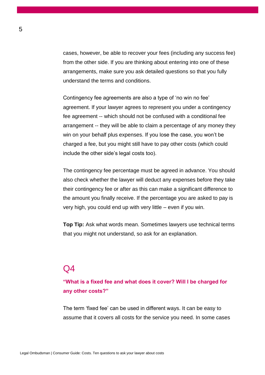cases, however, be able to recover your fees (including any success fee) from the other side. If you are thinking about entering into one of these arrangements, make sure you ask detailed questions so that you fully understand the terms and conditions.

Contingency fee agreements are also a type of 'no win no fee' agreement. If your lawyer agrees to represent you under a contingency fee agreement -- which should not be confused with a conditional fee arrangement -- they will be able to claim a percentage of any money they win on your behalf plus expenses. If you lose the case, you won't be charged a fee, but you might still have to pay other costs (which could include the other side's legal costs too).

The contingency fee percentage must be agreed in advance. You should also check whether the lawyer will deduct any expenses before they take their contingency fee or after as this can make a significant difference to the amount you finally receive. If the percentage you are asked to pay is very high, you could end up with very little – even if you win.

**Top Tip:** Ask what words mean. Sometimes lawyers use technical terms that you might not understand, so ask for an explanation.

### $\Omega$

**"What is a fixed fee and what does it cover? Will I be charged for any other costs?"**

The term 'fixed fee' can be used in different ways. It can be easy to assume that it covers all costs for the service you need. In some cases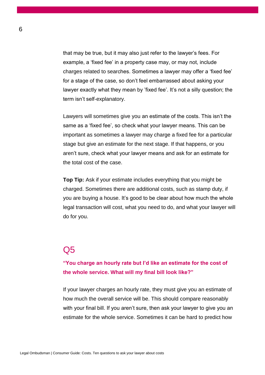that may be true, but it may also just refer to the lawyer's fees. For example, a 'fixed fee' in a property case may, or may not, include charges related to searches. Sometimes a lawyer may offer a 'fixed fee' for a stage of the case, so don't feel embarrassed about asking your lawyer exactly what they mean by 'fixed fee'. It's not a silly question; the term isn't self-explanatory.

Lawyers will sometimes give you an estimate of the costs. This isn't the same as a 'fixed fee', so check what your lawyer means. This can be important as sometimes a lawyer may charge a fixed fee for a particular stage but give an estimate for the next stage. If that happens, or you aren't sure, check what your lawyer means and ask for an estimate for the total cost of the case.

**Top Tip:** Ask if your estimate includes everything that you might be charged. Sometimes there are additional costs, such as stamp duty, if you are buying a house. It's good to be clear about how much the whole legal transaction will cost, what you need to do, and what your lawyer will do for you.

### Q5

**"You charge an hourly rate but I'd like an estimate for the cost of the whole service. What will my final bill look like?"**

If your lawyer charges an hourly rate, they must give you an estimate of how much the overall service will be. This should compare reasonably with your final bill. If you aren't sure, then ask your lawyer to give you an estimate for the whole service. Sometimes it can be hard to predict how

6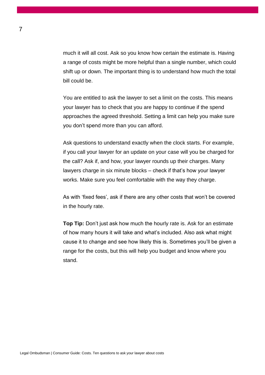much it will all cost. Ask so you know how certain the estimate is. Having a range of costs might be more helpful than a single number, which could shift up or down. The important thing is to understand how much the total bill could be.

You are entitled to ask the lawyer to set a limit on the costs. This means your lawyer has to check that you are happy to continue if the spend approaches the agreed threshold. Setting a limit can help you make sure you don't spend more than you can afford.

Ask questions to understand exactly when the clock starts. For example, if you call your lawyer for an update on your case will you be charged for the call? Ask if, and how, your lawyer rounds up their charges. Many lawyers charge in six minute blocks – check if that's how your lawyer works. Make sure you feel comfortable with the way they charge.

As with 'fixed fees', ask if there are any other costs that won't be covered in the hourly rate.

**Top Tip:** Don't just ask how much the hourly rate is. Ask for an estimate of how many hours it will take and what's included. Also ask what might cause it to change and see how likely this is. Sometimes you'll be given a range for the costs, but this will help you budget and know where you stand.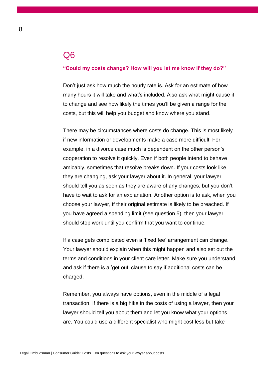#### Q6

#### **"Could my costs change? How will you let me know if they do?"**

Don't just ask how much the hourly rate is. Ask for an estimate of how many hours it will take and what's included. Also ask what might cause it to change and see how likely the times you'll be given a range for the costs, but this will help you budget and know where you stand.

There may be circumstances where costs do change. This is most likely if new information or developments make a case more difficult. For example, in a divorce case much is dependent on the other person's cooperation to resolve it quickly. Even if both people intend to behave amicably, sometimes that resolve breaks down. If your costs look like they are changing, ask your lawyer about it. In general, your lawyer should tell you as soon as they are aware of any changes, but you don't have to wait to ask for an explanation. Another option is to ask, when you choose your lawyer, if their original estimate is likely to be breached. If you have agreed a spending limit (see question 5), then your lawyer should stop work until you confirm that you want to continue.

If a case gets complicated even a 'fixed fee' arrangement can change. Your lawyer should explain when this might happen and also set out the terms and conditions in your client care letter. Make sure you understand and ask if there is a 'get out' clause to say if additional costs can be charged.

Remember, you always have options, even in the middle of a legal transaction. If there is a big hike in the costs of using a lawyer, then your lawyer should tell you about them and let you know what your options are. You could use a different specialist who might cost less but take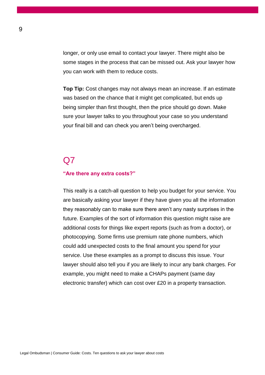longer, or only use email to contact your lawyer. There might also be some stages in the process that can be missed out. Ask your lawyer how you can work with them to reduce costs.

**Top Tip:** Cost changes may not always mean an increase. If an estimate was based on the chance that it might get complicated, but ends up being simpler than first thought, then the price should go down. Make sure your lawyer talks to you throughout your case so you understand your final bill and can check you aren't being overcharged.

### $O<sub>7</sub>$

#### **"Are there any extra costs?"**

This really is a catch-all question to help you budget for your service. You are basically asking your lawyer if they have given you all the information they reasonably can to make sure there aren't any nasty surprises in the future. Examples of the sort of information this question might raise are additional costs for things like expert reports (such as from a doctor), or photocopying. Some firms use premium rate phone numbers, which could add unexpected costs to the final amount you spend for your service. Use these examples as a prompt to discuss this issue. Your lawyer should also tell you if you are likely to incur any bank charges. For example, you might need to make a CHAPs payment (same day electronic transfer) which can cost over £20 in a property transaction.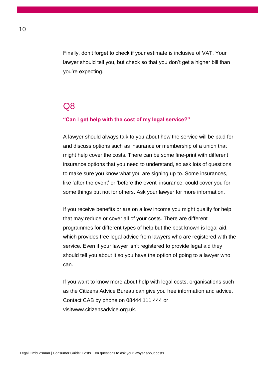Finally, don't forget to check if your estimate is inclusive of VAT. Your lawyer should tell you, but check so that you don't get a higher bill than you're expecting.

#### Q8

#### **"Can I get help with the cost of my legal service?"**

A lawyer should always talk to you about how the service will be paid for and discuss options such as insurance or membership of a union that might help cover the costs. There can be some fine-print with different insurance options that you need to understand, so ask lots of questions to make sure you know what you are signing up to. Some insurances, like 'after the event' or 'before the event' insurance, could cover you for some things but not for others. Ask your lawyer for more information.

If you receive benefits or are on a low income you might qualify for help that may reduce or cover all of your costs. There are different programmes for different types of help but the best known is legal aid, which provides free legal advice from lawyers who are registered with the service. Even if your lawyer isn't registered to provide legal aid they should tell you about it so you have the option of going to a lawyer who can.

If you want to know more about help with legal costs, organisations such as the Citizens Advice Bureau can give you free information and advice. Contact CAB by phone on 08444 111 444 or visitwww.citizensadvice.org.uk.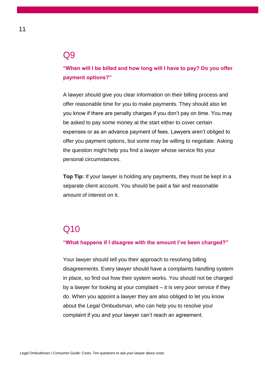#### Q9

**"When will I be billed and how long will I have to pay? Do you offer payment options?"**

A lawyer should give you clear information on their billing process and offer reasonable time for you to make payments. They should also let you know if there are penalty charges if you don't pay on time. You may be asked to pay some money at the start either to cover certain expenses or as an advance payment of fees. Lawyers aren't obliged to offer you payment options, but some may be willing to negotiate. Asking the question might help you find a lawyer whose service fits your personal circumstances.

**Top Tip:** If your lawyer is holding any payments, they must be kept in a separate client account. You should be paid a fair and reasonable amount of interest on it.

# Q10

#### **"What happens if I disagree with the amount I've been charged?"**

Your lawyer should tell you their approach to resolving billing disagreements. Every lawyer should have a complaints handling system in place, so find out how their system works. You should not be charged by a lawyer for looking at your complaint – it is very poor service if they do. When you appoint a lawyer they are also obliged to let you know about the Legal Ombudsman, who can help you to resolve your complaint if you and your lawyer can't reach an agreement.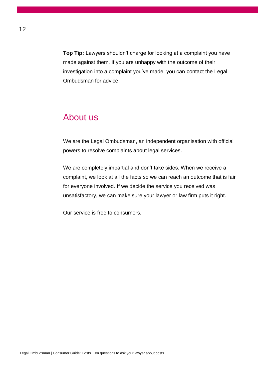**Top Tip:** Lawyers shouldn't charge for looking at a complaint you have made against them. If you are unhappy with the outcome of their investigation into a complaint you've made, you can contact the Legal Ombudsman for advice.

### About us

We are the Legal Ombudsman, an independent organisation with official powers to resolve complaints about legal services.

We are completely impartial and don't take sides. When we receive a complaint, we look at all the facts so we can reach an outcome that is fair for everyone involved. If we decide the service you received was unsatisfactory, we can make sure your lawyer or law firm puts it right.

Our service is free to consumers.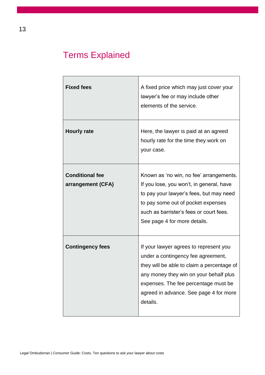# Terms Explained

| <b>Fixed fees</b>                           | A fixed price which may just cover your<br>lawyer's fee or may include other<br>elements of the service.                                                                                                                                                           |
|---------------------------------------------|--------------------------------------------------------------------------------------------------------------------------------------------------------------------------------------------------------------------------------------------------------------------|
| <b>Hourly rate</b>                          | Here, the lawyer is paid at an agreed<br>hourly rate for the time they work on<br>your case.                                                                                                                                                                       |
| <b>Conditional fee</b><br>arrangement (CFA) | Known as 'no win, no fee' arrangements.<br>If you lose, you won't, in general, have<br>to pay your lawyer's fees, but may need<br>to pay some out of pocket expenses<br>such as barrister's fees or court fees.<br>See page 4 for more details.                    |
| <b>Contingency fees</b>                     | If your lawyer agrees to represent you<br>under a contingency fee agreement,<br>they will be able to claim a percentage of<br>any money they win on your behalf plus<br>expenses. The fee percentage must be<br>agreed in advance. See page 4 for more<br>details. |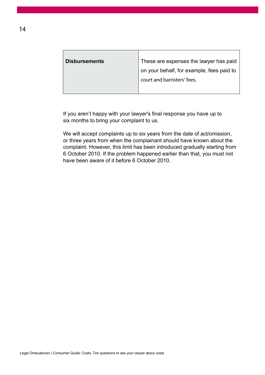| <b>Disbursements</b> | These are expenses the lawyer has paid    |
|----------------------|-------------------------------------------|
|                      | on your behalf, for example, fees paid to |
|                      | court and barristers' fees.               |
|                      |                                           |

If you aren't happy with your lawyer's final response you have up to six months to bring your complaint to us.

We will accept complaints up to six years from the date of act/omission, or three years from when the complainant should have known about the complaint. However, this limit has been introduced gradually starting from 6 October 2010. If the problem happened earlier than that, you must not have been aware of it before 6 October 2010.